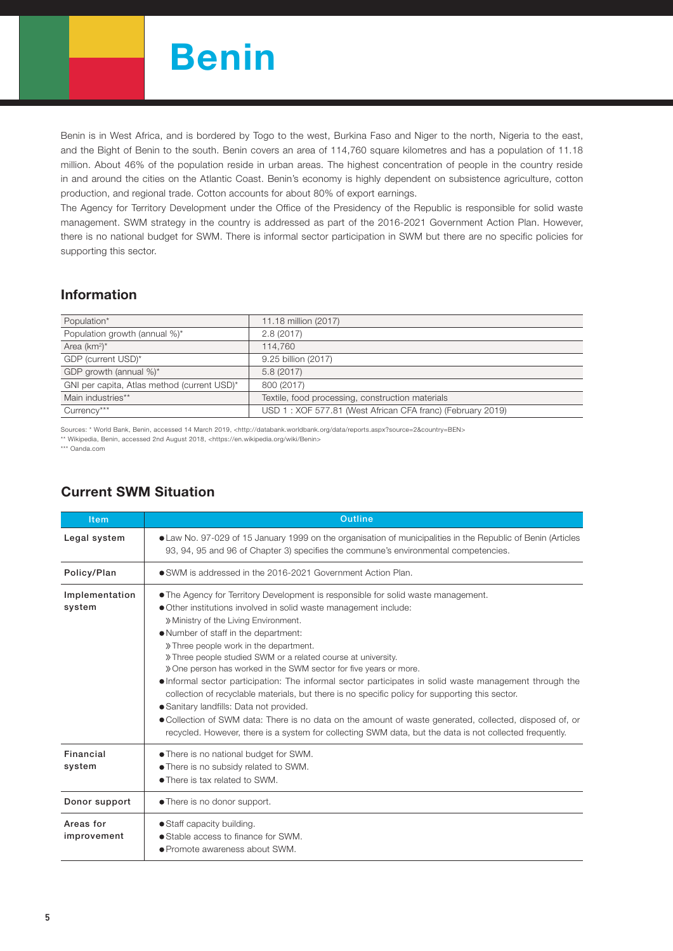

Benin is in West Africa, and is bordered by Togo to the west, Burkina Faso and Niger to the north, Nigeria to the east, and the Bight of Benin to the south. Benin covers an area of 114,760 square kilometres and has a population of 11.18 million. About 46% of the population reside in urban areas. The highest concentration of people in the country reside in and around the cities on the Atlantic Coast. Benin's economy is highly dependent on subsistence agriculture, cotton production, and regional trade. Cotton accounts for about 80% of export earnings.

The Agency for Territory Development under the Office of the Presidency of the Republic is responsible for solid waste management. SWM strategy in the country is addressed as part of the 2016-2021 Government Action Plan. However, there is no national budget for SWM. There is informal sector participation in SWM but there are no specific policies for supporting this sector.

## Information

| Population*                                 | 11.18 million (2017)                                       |
|---------------------------------------------|------------------------------------------------------------|
| Population growth (annual %)*               | 2.8(2017)                                                  |
| Area $(km^2)^*$                             | 114.760                                                    |
| GDP (current USD)*                          | 9.25 billion (2017)                                        |
| GDP growth (annual %)*                      | 5.8(2017)                                                  |
| GNI per capita, Atlas method (current USD)* | 800 (2017)                                                 |
| Main industries**                           | Textile, food processing, construction materials           |
| Currency***                                 | USD 1: XOF 577.81 (West African CFA franc) (February 2019) |

Sources: \* World Bank, Benin, accessed 14 March 2019, <http://databank.worldbank.org/data/reports.aspx?source=2&country=BEN>

\*\* Wikipedia, Benin, accessed 2nd August 2018, <https://en.wikipedia.org/wiki/Benin>

\*\*\* Oanda.com

| <b>Item</b>              | Outline                                                                                                                                                                                                                                                                                                                                                                                                                                                                                                                                                                                                                                                                                                                                                                                                                                                                                                |  |  |  |  |
|--------------------------|--------------------------------------------------------------------------------------------------------------------------------------------------------------------------------------------------------------------------------------------------------------------------------------------------------------------------------------------------------------------------------------------------------------------------------------------------------------------------------------------------------------------------------------------------------------------------------------------------------------------------------------------------------------------------------------------------------------------------------------------------------------------------------------------------------------------------------------------------------------------------------------------------------|--|--|--|--|
| Legal system             | • Law No. 97-029 of 15 January 1999 on the organisation of municipalities in the Republic of Benin (Articles<br>93, 94, 95 and 96 of Chapter 3) specifies the commune's environmental competencies.                                                                                                                                                                                                                                                                                                                                                                                                                                                                                                                                                                                                                                                                                                    |  |  |  |  |
| Policy/Plan              | • SWM is addressed in the 2016-2021 Government Action Plan.                                                                                                                                                                                                                                                                                                                                                                                                                                                                                                                                                                                                                                                                                                                                                                                                                                            |  |  |  |  |
| Implementation<br>system | • The Agency for Territory Development is responsible for solid waste management.<br>• Other institutions involved in solid waste management include:<br>» Ministry of the Living Environment.<br>. Number of staff in the department:<br>» Three people work in the department.<br>» Three people studied SWM or a related course at university.<br>» One person has worked in the SWM sector for five years or more.<br>• Informal sector participation: The informal sector participates in solid waste management through the<br>collection of recyclable materials, but there is no specific policy for supporting this sector.<br>• Sanitary landfills: Data not provided.<br>• Collection of SWM data: There is no data on the amount of waste generated, collected, disposed of, or<br>recycled. However, there is a system for collecting SWM data, but the data is not collected frequently. |  |  |  |  |
| Financial<br>system      | • There is no national budget for SWM.<br>• There is no subsidy related to SWM.<br>• There is tax related to SWM.                                                                                                                                                                                                                                                                                                                                                                                                                                                                                                                                                                                                                                                                                                                                                                                      |  |  |  |  |
| Donor support            | • There is no donor support.                                                                                                                                                                                                                                                                                                                                                                                                                                                                                                                                                                                                                                                                                                                                                                                                                                                                           |  |  |  |  |
| Areas for<br>improvement | • Staff capacity building.<br>• Stable access to finance for SWM.<br>• Promote awareness about SWM.                                                                                                                                                                                                                                                                                                                                                                                                                                                                                                                                                                                                                                                                                                                                                                                                    |  |  |  |  |

## Current SWM Situation